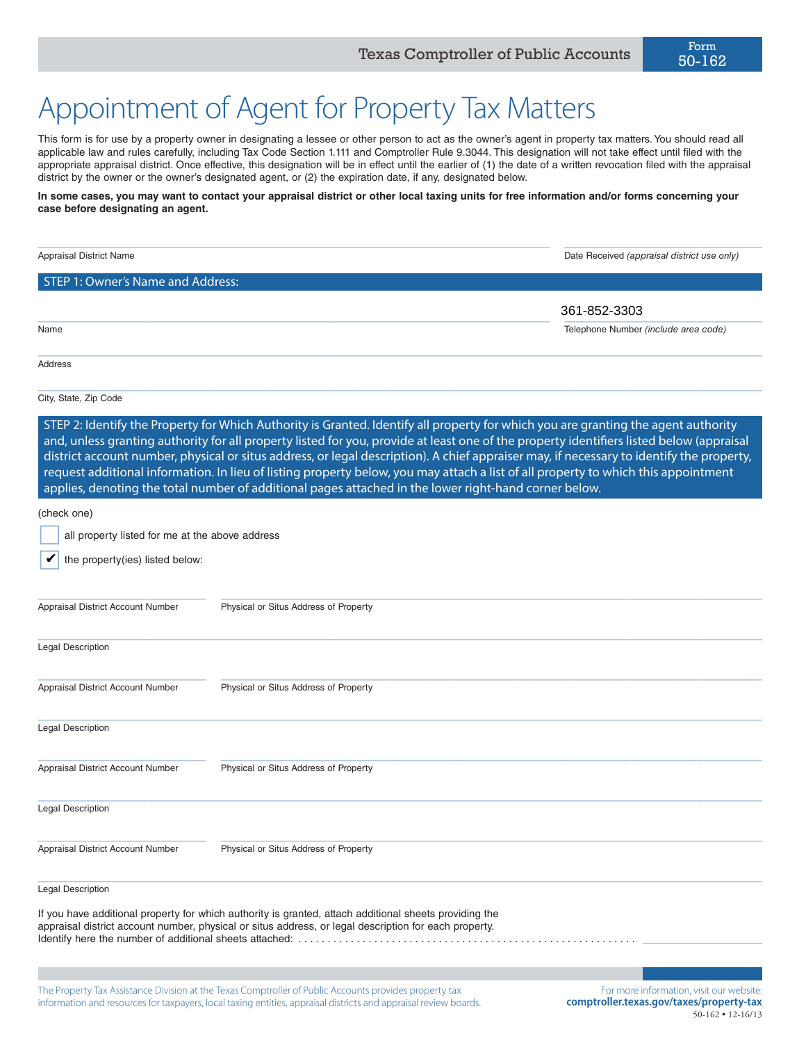# Appointment of Agent for Property Tax Matters

This form is for use by a property owner in designating a lessee or other person to act as the owner's agent in property tax matters. You should read all applicable law and rules carefully, including Tax Code Section 1.111 and Comptroller Rule 9.3044. This designation will not take effect until filed with the appropriate appraisal district. Once effective, this designation will be in effect until the earlier of (1) the date of a written revocation filed with the appraisal district by the owner or the owner's designated agent, or (2) the expiration date, if any, designated below.

# **In some cases, you may want to contact your appraisal district or other local taxing units for free information and/or forms concerning your case before designating an agent.**

| Appraisal District Name                         |                                                                                                                                                                                                                                                                                                                                                                                                                                                                                                                                                                                                                                                                           | Date Received (appraisal district use only) |
|-------------------------------------------------|---------------------------------------------------------------------------------------------------------------------------------------------------------------------------------------------------------------------------------------------------------------------------------------------------------------------------------------------------------------------------------------------------------------------------------------------------------------------------------------------------------------------------------------------------------------------------------------------------------------------------------------------------------------------------|---------------------------------------------|
| STEP 1: Owner's Name and Address:               |                                                                                                                                                                                                                                                                                                                                                                                                                                                                                                                                                                                                                                                                           |                                             |
|                                                 |                                                                                                                                                                                                                                                                                                                                                                                                                                                                                                                                                                                                                                                                           | 361-852-3303                                |
| Name                                            |                                                                                                                                                                                                                                                                                                                                                                                                                                                                                                                                                                                                                                                                           | Telephone Number (include area code)        |
|                                                 |                                                                                                                                                                                                                                                                                                                                                                                                                                                                                                                                                                                                                                                                           |                                             |
| Address                                         |                                                                                                                                                                                                                                                                                                                                                                                                                                                                                                                                                                                                                                                                           |                                             |
| City, State, Zip Code                           |                                                                                                                                                                                                                                                                                                                                                                                                                                                                                                                                                                                                                                                                           |                                             |
|                                                 | STEP 2: Identify the Property for Which Authority is Granted. Identify all property for which you are granting the agent authority<br>and, unless granting authority for all property listed for you, provide at least one of the property identifiers listed below (appraisal<br>district account number, physical or situs address, or legal description). A chief appraiser may, if necessary to identify the property,<br>request additional information. In lieu of listing property below, you may attach a list of all property to which this appointment<br>applies, denoting the total number of additional pages attached in the lower right-hand corner below. |                                             |
| (check one)                                     |                                                                                                                                                                                                                                                                                                                                                                                                                                                                                                                                                                                                                                                                           |                                             |
| all property listed for me at the above address |                                                                                                                                                                                                                                                                                                                                                                                                                                                                                                                                                                                                                                                                           |                                             |
| the property(ies) listed below:                 |                                                                                                                                                                                                                                                                                                                                                                                                                                                                                                                                                                                                                                                                           |                                             |
| Appraisal District Account Number               | Physical or Situs Address of Property                                                                                                                                                                                                                                                                                                                                                                                                                                                                                                                                                                                                                                     |                                             |
| <b>Legal Description</b>                        |                                                                                                                                                                                                                                                                                                                                                                                                                                                                                                                                                                                                                                                                           |                                             |
| Appraisal District Account Number               | Physical or Situs Address of Property                                                                                                                                                                                                                                                                                                                                                                                                                                                                                                                                                                                                                                     |                                             |
| <b>Legal Description</b>                        |                                                                                                                                                                                                                                                                                                                                                                                                                                                                                                                                                                                                                                                                           |                                             |
| Appraisal District Account Number               | Physical or Situs Address of Property                                                                                                                                                                                                                                                                                                                                                                                                                                                                                                                                                                                                                                     |                                             |
| Legal Description                               |                                                                                                                                                                                                                                                                                                                                                                                                                                                                                                                                                                                                                                                                           |                                             |
| Appraisal District Account Number               | Physical or Situs Address of Property                                                                                                                                                                                                                                                                                                                                                                                                                                                                                                                                                                                                                                     |                                             |
| <b>Legal Description</b>                        |                                                                                                                                                                                                                                                                                                                                                                                                                                                                                                                                                                                                                                                                           |                                             |
|                                                 | If you have additional property for which authority is granted, attach additional sheets providing the<br>appraisal district account number, physical or situs address, or legal description for each property.                                                                                                                                                                                                                                                                                                                                                                                                                                                           |                                             |
|                                                 | The Property Tax Assistance Division at the Texas Comptroller of Public Accounts provides property tax                                                                                                                                                                                                                                                                                                                                                                                                                                                                                                                                                                    | For more information, visit our website:    |

information and resources for taxpayers, local taxing entities, appraisal districts and appraisal review boards.